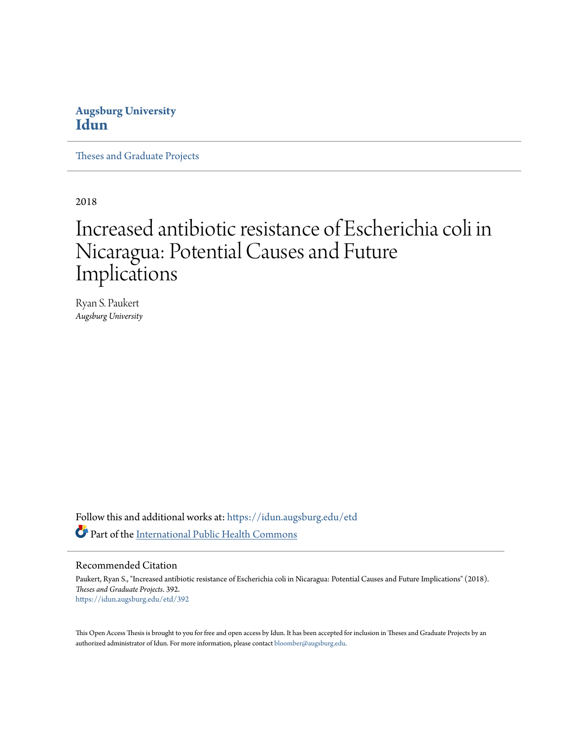## **Augsburg University [Idun](https://idun.augsburg.edu?utm_source=idun.augsburg.edu%2Fetd%2F392&utm_medium=PDF&utm_campaign=PDFCoverPages)**

[Theses and Graduate Projects](https://idun.augsburg.edu/etd?utm_source=idun.augsburg.edu%2Fetd%2F392&utm_medium=PDF&utm_campaign=PDFCoverPages)

2018

# Increased antibiotic resistance of Escherichia coli in Nicaragua: Potential Causes and Future Implications

Ryan S. Paukert *Augsburg University*

Follow this and additional works at: [https://idun.augsburg.edu/etd](https://idun.augsburg.edu/etd?utm_source=idun.augsburg.edu%2Fetd%2F392&utm_medium=PDF&utm_campaign=PDFCoverPages) Part of the [International Public Health Commons](http://network.bepress.com/hgg/discipline/746?utm_source=idun.augsburg.edu%2Fetd%2F392&utm_medium=PDF&utm_campaign=PDFCoverPages)

#### Recommended Citation

Paukert, Ryan S., "Increased antibiotic resistance of Escherichia coli in Nicaragua: Potential Causes and Future Implications" (2018). *Theses and Graduate Projects*. 392. [https://idun.augsburg.edu/etd/392](https://idun.augsburg.edu/etd/392?utm_source=idun.augsburg.edu%2Fetd%2F392&utm_medium=PDF&utm_campaign=PDFCoverPages)

This Open Access Thesis is brought to you for free and open access by Idun. It has been accepted for inclusion in Theses and Graduate Projects by an authorized administrator of Idun. For more information, please contact [bloomber@augsburg.edu.](mailto:bloomber@augsburg.edu)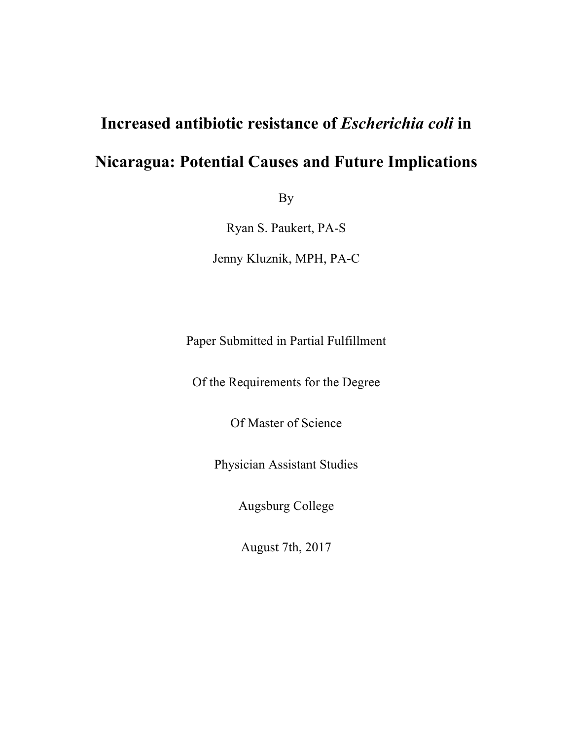# **Increased antibiotic resistance of** *Escherichia coli* **in Nicaragua: Potential Causes and Future Implications**

By

Ryan S. Paukert, PA-S Jenny Kluznik, MPH, PA-C

Paper Submitted in Partial Fulfillment

Of the Requirements for the Degree

Of Master of Science

Physician Assistant Studies

Augsburg College

August 7th, 2017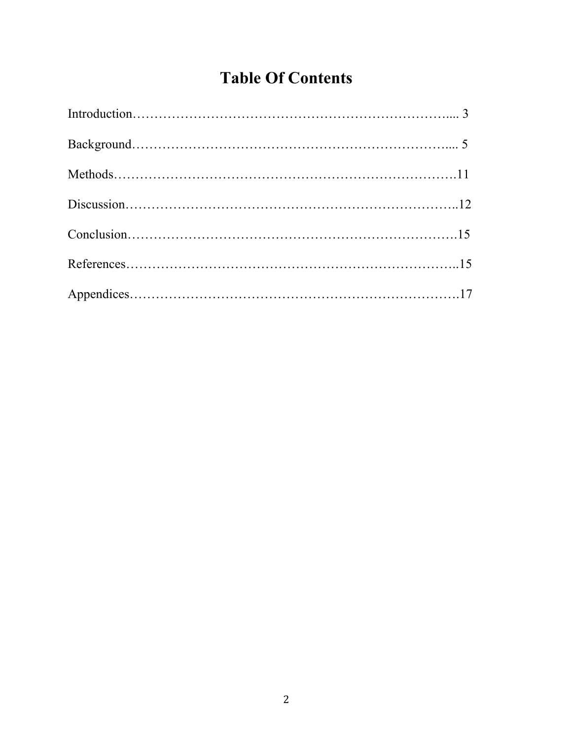# **Table Of Contents**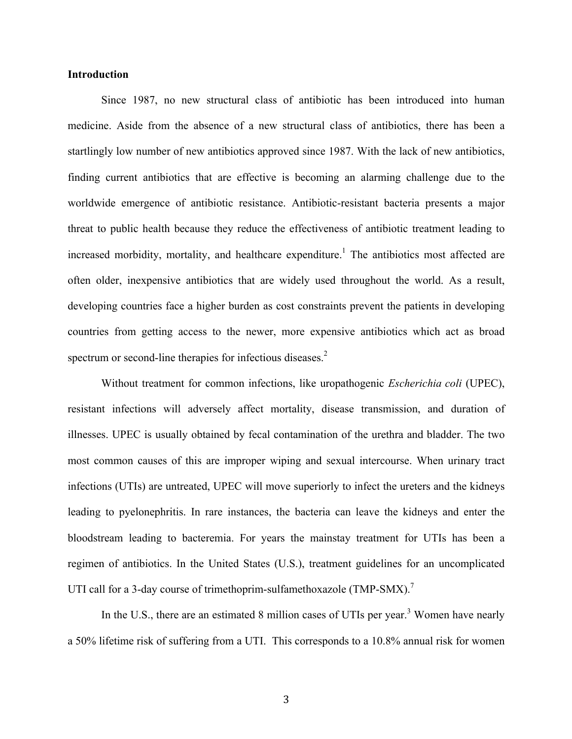#### **Introduction**

Since 1987, no new structural class of antibiotic has been introduced into human medicine. Aside from the absence of a new structural class of antibiotics, there has been a startlingly low number of new antibiotics approved since 1987. With the lack of new antibiotics, finding current antibiotics that are effective is becoming an alarming challenge due to the worldwide emergence of antibiotic resistance. Antibiotic-resistant bacteria presents a major threat to public health because they reduce the effectiveness of antibiotic treatment leading to increased morbidity, mortality, and healthcare expenditure.<sup>1</sup> The antibiotics most affected are often older, inexpensive antibiotics that are widely used throughout the world. As a result, developing countries face a higher burden as cost constraints prevent the patients in developing countries from getting access to the newer, more expensive antibiotics which act as broad spectrum or second-line therapies for infectious diseases.<sup>2</sup>

Without treatment for common infections, like uropathogenic *Escherichia coli* (UPEC), resistant infections will adversely affect mortality, disease transmission, and duration of illnesses. UPEC is usually obtained by fecal contamination of the urethra and bladder. The two most common causes of this are improper wiping and sexual intercourse. When urinary tract infections (UTIs) are untreated, UPEC will move superiorly to infect the ureters and the kidneys leading to pyelonephritis. In rare instances, the bacteria can leave the kidneys and enter the bloodstream leading to bacteremia. For years the mainstay treatment for UTIs has been a regimen of antibiotics. In the United States (U.S.), treatment guidelines for an uncomplicated UTI call for a 3-day course of trimethoprim-sulfamethoxazole (TMP-SMX).<sup>7</sup>

In the U.S., there are an estimated 8 million cases of UTIs per year.<sup>3</sup> Women have nearly a 50% lifetime risk of suffering from a UTI. This corresponds to a 10.8% annual risk for women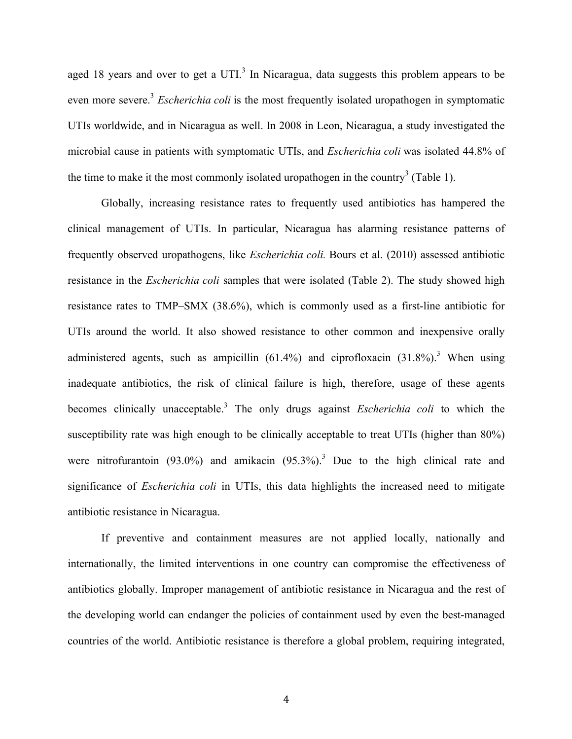aged 18 years and over to get a UTI.<sup>3</sup> In Nicaragua, data suggests this problem appears to be even more severe.<sup>3</sup> *Escherichia coli* is the most frequently isolated uropathogen in symptomatic UTIs worldwide, and in Nicaragua as well. In 2008 in Leon, Nicaragua, a study investigated the microbial cause in patients with symptomatic UTIs, and *Escherichia coli* was isolated 44.8% of the time to make it the most commonly isolated uropathogen in the country<sup>3</sup> (Table 1).

Globally, increasing resistance rates to frequently used antibiotics has hampered the clinical management of UTIs. In particular, Nicaragua has alarming resistance patterns of frequently observed uropathogens, like *Escherichia coli.* Bours et al. (2010) assessed antibiotic resistance in the *Escherichia coli* samples that were isolated (Table 2). The study showed high resistance rates to TMP–SMX (38.6%), which is commonly used as a first-line antibiotic for UTIs around the world. It also showed resistance to other common and inexpensive orally administered agents, such as ampicillin  $(61.4\%)$  and ciprofloxacin  $(31.8\%)$ .<sup>3</sup> When using inadequate antibiotics, the risk of clinical failure is high, therefore, usage of these agents becomes clinically unacceptable.<sup>3</sup> The only drugs against *Escherichia coli* to which the susceptibility rate was high enough to be clinically acceptable to treat UTIs (higher than 80%) were nitrofurantoin  $(93.0\%)$  and amikacin  $(95.3\%)$ <sup>3</sup> Due to the high clinical rate and significance of *Escherichia coli* in UTIs, this data highlights the increased need to mitigate antibiotic resistance in Nicaragua.

If preventive and containment measures are not applied locally, nationally and internationally, the limited interventions in one country can compromise the effectiveness of antibiotics globally. Improper management of antibiotic resistance in Nicaragua and the rest of the developing world can endanger the policies of containment used by even the best-managed countries of the world. Antibiotic resistance is therefore a global problem, requiring integrated,

4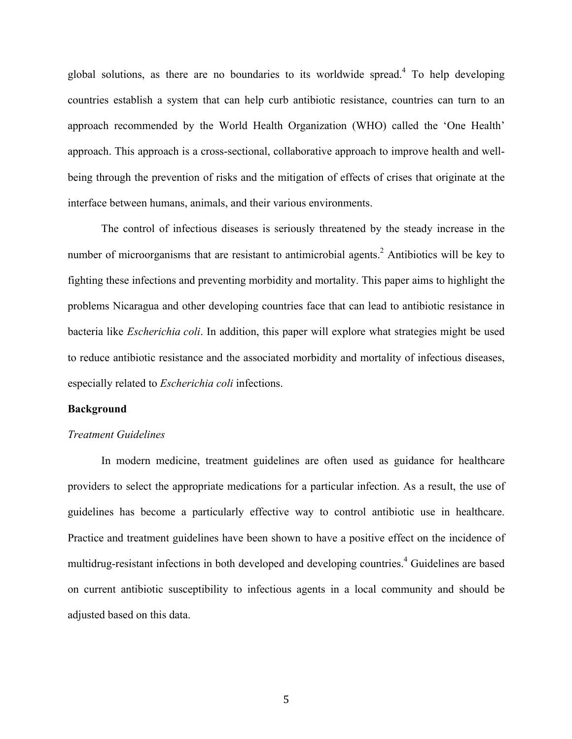global solutions, as there are no boundaries to its worldwide spread.<sup>4</sup> To help developing countries establish a system that can help curb antibiotic resistance, countries can turn to an approach recommended by the World Health Organization (WHO) called the 'One Health' approach. This approach is a cross-sectional, collaborative approach to improve health and wellbeing through the prevention of risks and the mitigation of effects of crises that originate at the interface between humans, animals, and their various environments.

The control of infectious diseases is seriously threatened by the steady increase in the number of microorganisms that are resistant to antimicrobial agents.<sup>2</sup> Antibiotics will be key to fighting these infections and preventing morbidity and mortality. This paper aims to highlight the problems Nicaragua and other developing countries face that can lead to antibiotic resistance in bacteria like *Escherichia coli*. In addition, this paper will explore what strategies might be used to reduce antibiotic resistance and the associated morbidity and mortality of infectious diseases, especially related to *Escherichia coli* infections.

#### **Background**

#### *Treatment Guidelines*

In modern medicine, treatment guidelines are often used as guidance for healthcare providers to select the appropriate medications for a particular infection. As a result, the use of guidelines has become a particularly effective way to control antibiotic use in healthcare. Practice and treatment guidelines have been shown to have a positive effect on the incidence of multidrug-resistant infections in both developed and developing countries.<sup>4</sup> Guidelines are based on current antibiotic susceptibility to infectious agents in a local community and should be adjusted based on this data.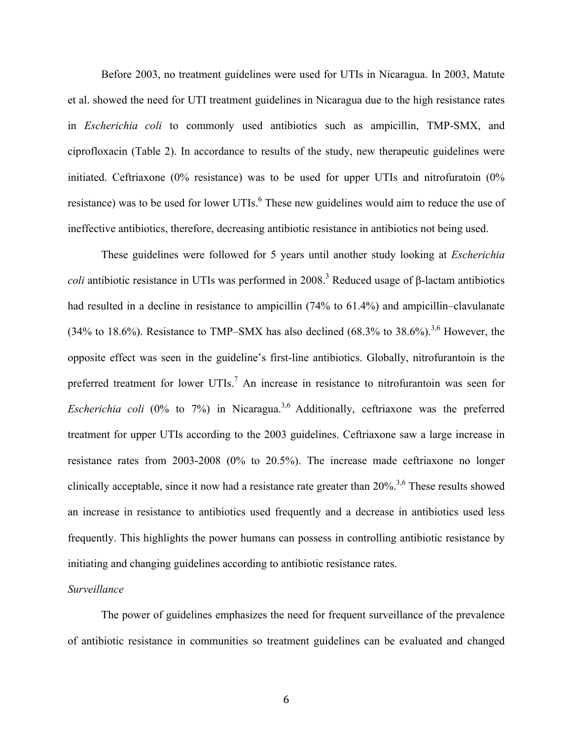Before 2003, no treatment guidelines were used for UTIs in Nicaragua. In 2003, Matute et al. showed the need for UTI treatment guidelines in Nicaragua due to the high resistance rates in *Escherichia coli* to commonly used antibiotics such as ampicillin, TMP-SMX, and ciprofloxacin (Table 2). In accordance to results of the study, new therapeutic guidelines were initiated. Ceftriaxone (0% resistance) was to be used for upper UTIs and nitrofuratoin (0% resistance) was to be used for lower UTIs.<sup>6</sup> These new guidelines would aim to reduce the use of ineffective antibiotics, therefore, decreasing antibiotic resistance in antibiotics not being used.

These guidelines were followed for 5 years until another study looking at *Escherichia coli* antibiotic resistance in UTIs was performed in 2008.<sup>3</sup> Reduced usage of  $\beta$ -lactam antibiotics had resulted in a decline in resistance to ampicillin (74% to 61.4%) and ampicillin–clavulanate (34% to 18.6%). Resistance to TMP–SMX has also declined (68.3% to 38.6%).<sup>3,6</sup> However, the opposite effect was seen in the guideline's first-line antibiotics. Globally, nitrofurantoin is the preferred treatment for lower UTIs.<sup>7</sup> An increase in resistance to nitrofurantoin was seen for *Escherichia coli* (0% to 7%) in Nicaragua. 3,6 Additionally, ceftriaxone was the preferred treatment for upper UTIs according to the 2003 guidelines. Ceftriaxone saw a large increase in resistance rates from 2003-2008 (0% to 20.5%). The increase made ceftriaxone no longer clinically acceptable, since it now had a resistance rate greater than  $20\%$ <sup>3,6</sup> These results showed an increase in resistance to antibiotics used frequently and a decrease in antibiotics used less frequently. This highlights the power humans can possess in controlling antibiotic resistance by initiating and changing guidelines according to antibiotic resistance rates.

#### *Surveillance*

The power of guidelines emphasizes the need for frequent surveillance of the prevalence of antibiotic resistance in communities so treatment guidelines can be evaluated and changed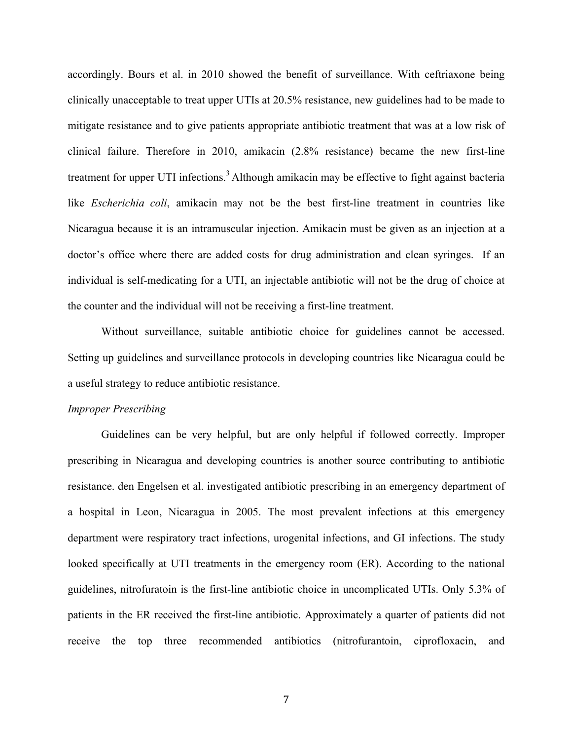accordingly. Bours et al. in 2010 showed the benefit of surveillance. With ceftriaxone being clinically unacceptable to treat upper UTIs at 20.5% resistance, new guidelines had to be made to mitigate resistance and to give patients appropriate antibiotic treatment that was at a low risk of clinical failure. Therefore in 2010, amikacin (2.8% resistance) became the new first-line treatment for upper UTI infections.<sup>3</sup> Although amikacin may be effective to fight against bacteria like *Escherichia coli*, amikacin may not be the best first-line treatment in countries like Nicaragua because it is an intramuscular injection. Amikacin must be given as an injection at a doctor's office where there are added costs for drug administration and clean syringes. If an individual is self-medicating for a UTI, an injectable antibiotic will not be the drug of choice at the counter and the individual will not be receiving a first-line treatment.

Without surveillance, suitable antibiotic choice for guidelines cannot be accessed. Setting up guidelines and surveillance protocols in developing countries like Nicaragua could be a useful strategy to reduce antibiotic resistance.

#### *Improper Prescribing*

Guidelines can be very helpful, but are only helpful if followed correctly. Improper prescribing in Nicaragua and developing countries is another source contributing to antibiotic resistance. den Engelsen et al. investigated antibiotic prescribing in an emergency department of a hospital in Leon, Nicaragua in 2005. The most prevalent infections at this emergency department were respiratory tract infections, urogenital infections, and GI infections. The study looked specifically at UTI treatments in the emergency room (ER). According to the national guidelines, nitrofuratoin is the first-line antibiotic choice in uncomplicated UTIs. Only 5.3% of patients in the ER received the first-line antibiotic. Approximately a quarter of patients did not receive the top three recommended antibiotics (nitrofurantoin, ciprofloxacin, and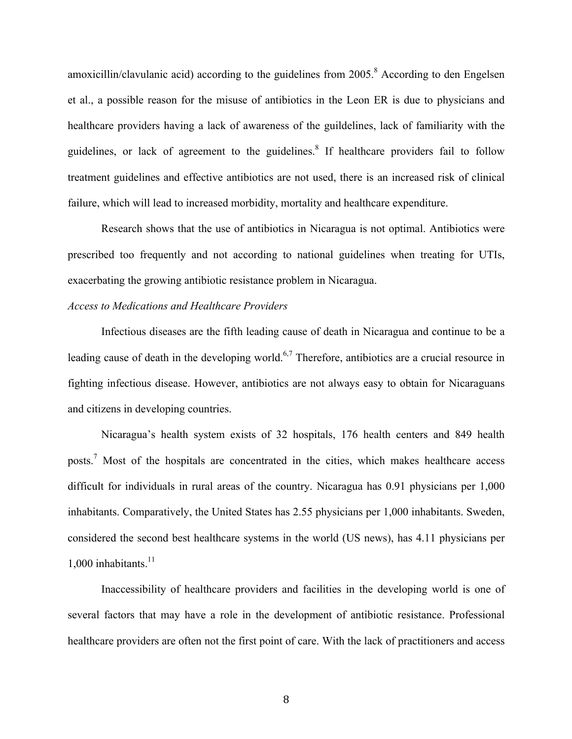amoxicillin/clavulanic acid) according to the guidelines from  $2005$ .<sup>8</sup> According to den Engelsen et al., a possible reason for the misuse of antibiotics in the Leon ER is due to physicians and healthcare providers having a lack of awareness of the guildelines, lack of familiarity with the guidelines, or lack of agreement to the guidelines.<sup>8</sup> If healthcare providers fail to follow treatment guidelines and effective antibiotics are not used, there is an increased risk of clinical failure, which will lead to increased morbidity, mortality and healthcare expenditure.

Research shows that the use of antibiotics in Nicaragua is not optimal. Antibiotics were prescribed too frequently and not according to national guidelines when treating for UTIs, exacerbating the growing antibiotic resistance problem in Nicaragua.

#### *Access to Medications and Healthcare Providers*

Infectious diseases are the fifth leading cause of death in Nicaragua and continue to be a leading cause of death in the developing world.<sup>6,7</sup> Therefore, antibiotics are a crucial resource in fighting infectious disease. However, antibiotics are not always easy to obtain for Nicaraguans and citizens in developing countries.

Nicaragua's health system exists of 32 hospitals, 176 health centers and 849 health posts.7 Most of the hospitals are concentrated in the cities, which makes healthcare access difficult for individuals in rural areas of the country. Nicaragua has 0.91 physicians per 1,000 inhabitants. Comparatively, the United States has 2.55 physicians per 1,000 inhabitants. Sweden, considered the second best healthcare systems in the world (US news), has 4.11 physicians per 1,000 inhabitants. $11$ 

Inaccessibility of healthcare providers and facilities in the developing world is one of several factors that may have a role in the development of antibiotic resistance. Professional healthcare providers are often not the first point of care. With the lack of practitioners and access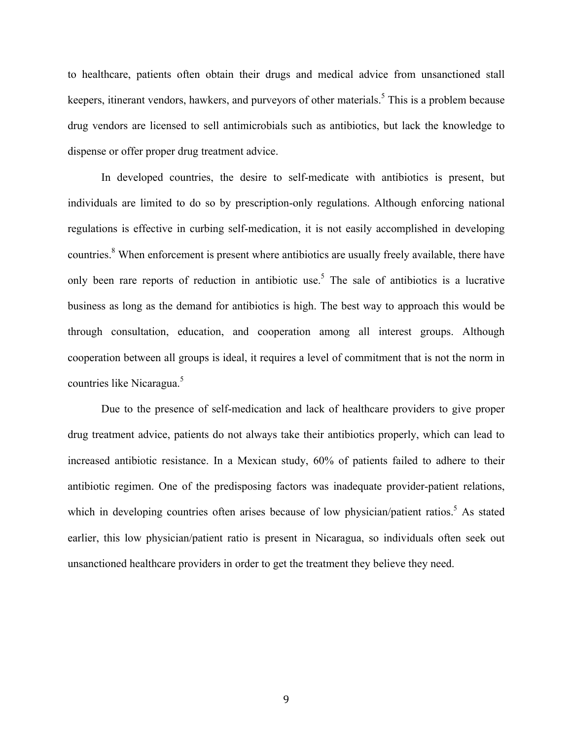to healthcare, patients often obtain their drugs and medical advice from unsanctioned stall keepers, itinerant vendors, hawkers, and purveyors of other materials.<sup>5</sup> This is a problem because drug vendors are licensed to sell antimicrobials such as antibiotics, but lack the knowledge to dispense or offer proper drug treatment advice.

In developed countries, the desire to self-medicate with antibiotics is present, but individuals are limited to do so by prescription-only regulations. Although enforcing national regulations is effective in curbing self-medication, it is not easily accomplished in developing countries.<sup>8</sup> When enforcement is present where antibiotics are usually freely available, there have only been rare reports of reduction in antibiotic use.<sup>5</sup> The sale of antibiotics is a lucrative business as long as the demand for antibiotics is high. The best way to approach this would be through consultation, education, and cooperation among all interest groups. Although cooperation between all groups is ideal, it requires a level of commitment that is not the norm in countries like Nicaragua.<sup>5</sup>

Due to the presence of self-medication and lack of healthcare providers to give proper drug treatment advice, patients do not always take their antibiotics properly, which can lead to increased antibiotic resistance. In a Mexican study, 60% of patients failed to adhere to their antibiotic regimen. One of the predisposing factors was inadequate provider-patient relations, which in developing countries often arises because of low physician/patient ratios.<sup>5</sup> As stated earlier, this low physician/patient ratio is present in Nicaragua, so individuals often seek out unsanctioned healthcare providers in order to get the treatment they believe they need.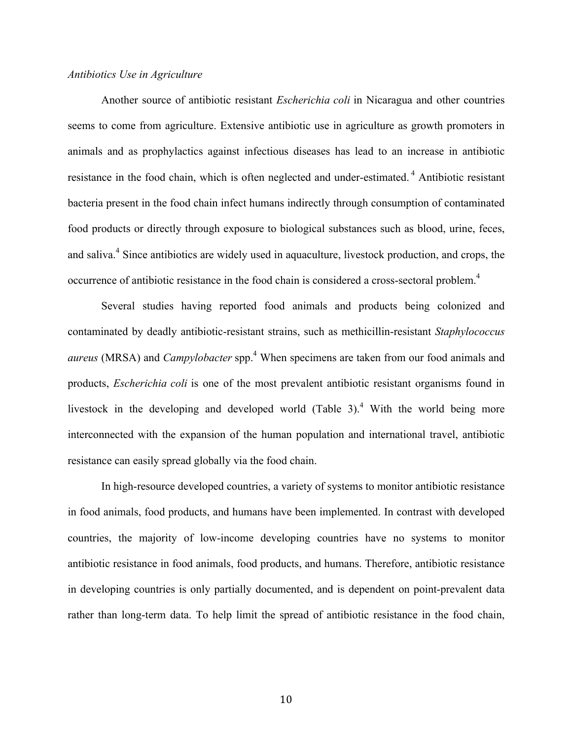#### *Antibiotics Use in Agriculture*

Another source of antibiotic resistant *Escherichia coli* in Nicaragua and other countries seems to come from agriculture. Extensive antibiotic use in agriculture as growth promoters in animals and as prophylactics against infectious diseases has lead to an increase in antibiotic resistance in the food chain, which is often neglected and under-estimated.<sup>4</sup> Antibiotic resistant bacteria present in the food chain infect humans indirectly through consumption of contaminated food products or directly through exposure to biological substances such as blood, urine, feces, and saliva.<sup>4</sup> Since antibiotics are widely used in aquaculture, livestock production, and crops, the occurrence of antibiotic resistance in the food chain is considered a cross-sectoral problem.<sup>4</sup>

Several studies having reported food animals and products being colonized and contaminated by deadly antibiotic-resistant strains, such as methicillin-resistant *Staphylococcus aureus* (MRSA) and *Campylobacter* spp. <sup>4</sup> When specimens are taken from our food animals and products, *Escherichia coli* is one of the most prevalent antibiotic resistant organisms found in livestock in the developing and developed world (Table 3).<sup>4</sup> With the world being more interconnected with the expansion of the human population and international travel, antibiotic resistance can easily spread globally via the food chain.

In high-resource developed countries, a variety of systems to monitor antibiotic resistance in food animals, food products, and humans have been implemented. In contrast with developed countries, the majority of low-income developing countries have no systems to monitor antibiotic resistance in food animals, food products, and humans. Therefore, antibiotic resistance in developing countries is only partially documented, and is dependent on point-prevalent data rather than long-term data. To help limit the spread of antibiotic resistance in the food chain,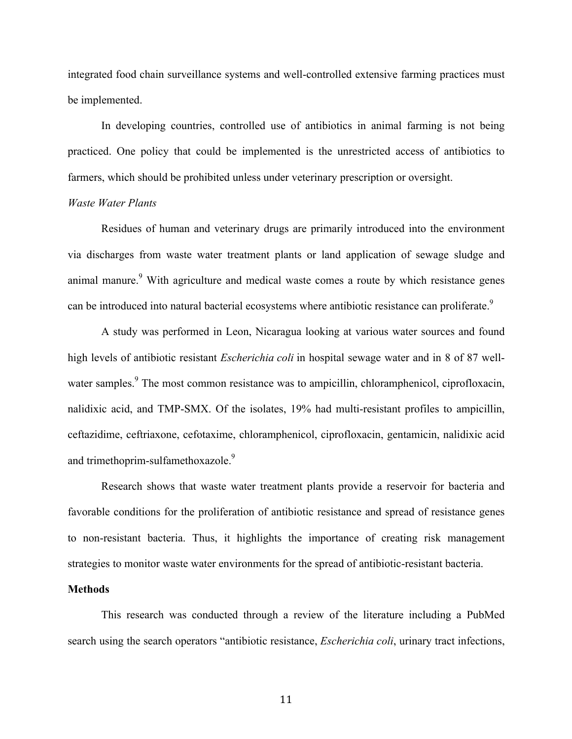integrated food chain surveillance systems and well-controlled extensive farming practices must be implemented.

In developing countries, controlled use of antibiotics in animal farming is not being practiced. One policy that could be implemented is the unrestricted access of antibiotics to farmers, which should be prohibited unless under veterinary prescription or oversight.

#### *Waste Water Plants*

Residues of human and veterinary drugs are primarily introduced into the environment via discharges from waste water treatment plants or land application of sewage sludge and animal manure.<sup>9</sup> With agriculture and medical waste comes a route by which resistance genes can be introduced into natural bacterial ecosystems where antibiotic resistance can proliferate.<sup>9</sup>

A study was performed in Leon, Nicaragua looking at various water sources and found high levels of antibiotic resistant *Escherichia coli* in hospital sewage water and in 8 of 87 wellwater samples.<sup>9</sup> The most common resistance was to ampicillin, chloramphenicol, ciprofloxacin, nalidixic acid, and TMP-SMX. Of the isolates, 19% had multi-resistant profiles to ampicillin, ceftazidime, ceftriaxone, cefotaxime, chloramphenicol, ciprofloxacin, gentamicin, nalidixic acid and trimethoprim-sulfamethoxazole.<sup>9</sup>

Research shows that waste water treatment plants provide a reservoir for bacteria and favorable conditions for the proliferation of antibiotic resistance and spread of resistance genes to non-resistant bacteria. Thus, it highlights the importance of creating risk management strategies to monitor waste water environments for the spread of antibiotic-resistant bacteria.

#### **Methods**

This research was conducted through a review of the literature including a PubMed search using the search operators "antibiotic resistance, *Escherichia coli*, urinary tract infections,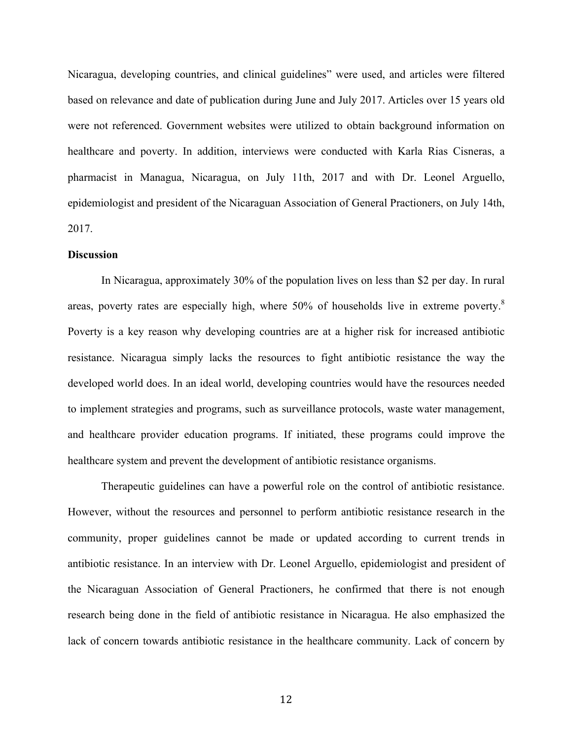Nicaragua, developing countries, and clinical guidelines" were used, and articles were filtered based on relevance and date of publication during June and July 2017. Articles over 15 years old were not referenced. Government websites were utilized to obtain background information on healthcare and poverty. In addition, interviews were conducted with Karla Rias Cisneras, a pharmacist in Managua, Nicaragua, on July 11th, 2017 and with Dr. Leonel Arguello, epidemiologist and president of the Nicaraguan Association of General Practioners, on July 14th, 2017.

#### **Discussion**

In Nicaragua, approximately 30% of the population lives on less than \$2 per day. In rural areas, poverty rates are especially high, where 50% of households live in extreme poverty.<sup>8</sup> Poverty is a key reason why developing countries are at a higher risk for increased antibiotic resistance. Nicaragua simply lacks the resources to fight antibiotic resistance the way the developed world does. In an ideal world, developing countries would have the resources needed to implement strategies and programs, such as surveillance protocols, waste water management, and healthcare provider education programs. If initiated, these programs could improve the healthcare system and prevent the development of antibiotic resistance organisms.

Therapeutic guidelines can have a powerful role on the control of antibiotic resistance. However, without the resources and personnel to perform antibiotic resistance research in the community, proper guidelines cannot be made or updated according to current trends in antibiotic resistance. In an interview with Dr. Leonel Arguello, epidemiologist and president of the Nicaraguan Association of General Practioners, he confirmed that there is not enough research being done in the field of antibiotic resistance in Nicaragua. He also emphasized the lack of concern towards antibiotic resistance in the healthcare community. Lack of concern by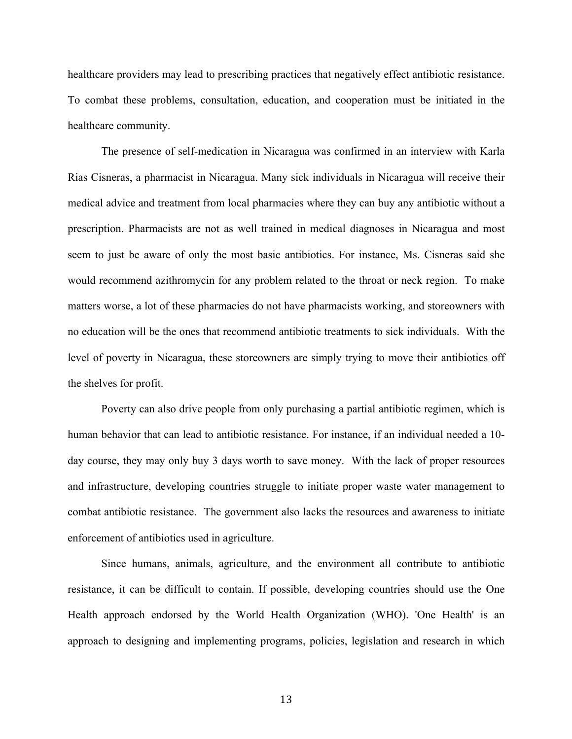healthcare providers may lead to prescribing practices that negatively effect antibiotic resistance. To combat these problems, consultation, education, and cooperation must be initiated in the healthcare community.

The presence of self-medication in Nicaragua was confirmed in an interview with Karla Rias Cisneras, a pharmacist in Nicaragua. Many sick individuals in Nicaragua will receive their medical advice and treatment from local pharmacies where they can buy any antibiotic without a prescription. Pharmacists are not as well trained in medical diagnoses in Nicaragua and most seem to just be aware of only the most basic antibiotics. For instance, Ms. Cisneras said she would recommend azithromycin for any problem related to the throat or neck region. To make matters worse, a lot of these pharmacies do not have pharmacists working, and storeowners with no education will be the ones that recommend antibiotic treatments to sick individuals. With the level of poverty in Nicaragua, these storeowners are simply trying to move their antibiotics off the shelves for profit.

Poverty can also drive people from only purchasing a partial antibiotic regimen, which is human behavior that can lead to antibiotic resistance. For instance, if an individual needed a 10 day course, they may only buy 3 days worth to save money. With the lack of proper resources and infrastructure, developing countries struggle to initiate proper waste water management to combat antibiotic resistance. The government also lacks the resources and awareness to initiate enforcement of antibiotics used in agriculture.

Since humans, animals, agriculture, and the environment all contribute to antibiotic resistance, it can be difficult to contain. If possible, developing countries should use the One Health approach endorsed by the World Health Organization (WHO). 'One Health' is an approach to designing and implementing programs, policies, legislation and research in which

13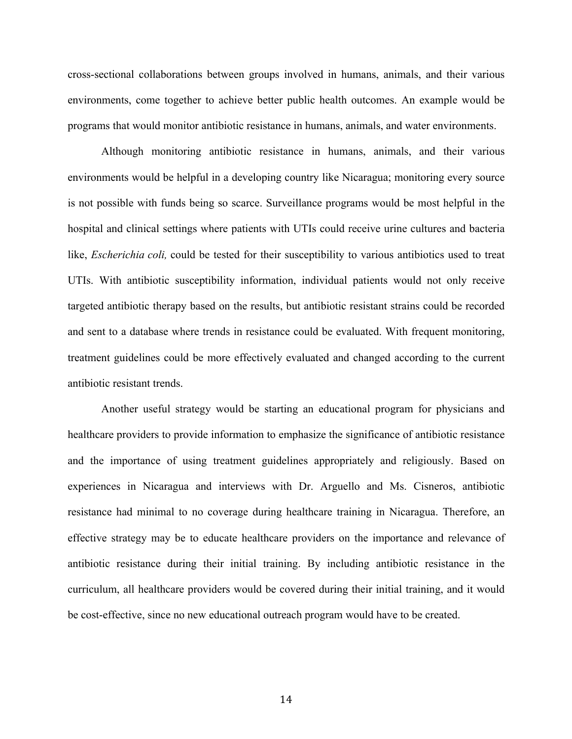cross-sectional collaborations between groups involved in humans, animals, and their various environments, come together to achieve better public health outcomes. An example would be programs that would monitor antibiotic resistance in humans, animals, and water environments.

Although monitoring antibiotic resistance in humans, animals, and their various environments would be helpful in a developing country like Nicaragua; monitoring every source is not possible with funds being so scarce. Surveillance programs would be most helpful in the hospital and clinical settings where patients with UTIs could receive urine cultures and bacteria like, *Escherichia coli,* could be tested for their susceptibility to various antibiotics used to treat UTIs. With antibiotic susceptibility information, individual patients would not only receive targeted antibiotic therapy based on the results, but antibiotic resistant strains could be recorded and sent to a database where trends in resistance could be evaluated. With frequent monitoring, treatment guidelines could be more effectively evaluated and changed according to the current antibiotic resistant trends.

Another useful strategy would be starting an educational program for physicians and healthcare providers to provide information to emphasize the significance of antibiotic resistance and the importance of using treatment guidelines appropriately and religiously. Based on experiences in Nicaragua and interviews with Dr. Arguello and Ms. Cisneros, antibiotic resistance had minimal to no coverage during healthcare training in Nicaragua. Therefore, an effective strategy may be to educate healthcare providers on the importance and relevance of antibiotic resistance during their initial training. By including antibiotic resistance in the curriculum, all healthcare providers would be covered during their initial training, and it would be cost-effective, since no new educational outreach program would have to be created.

14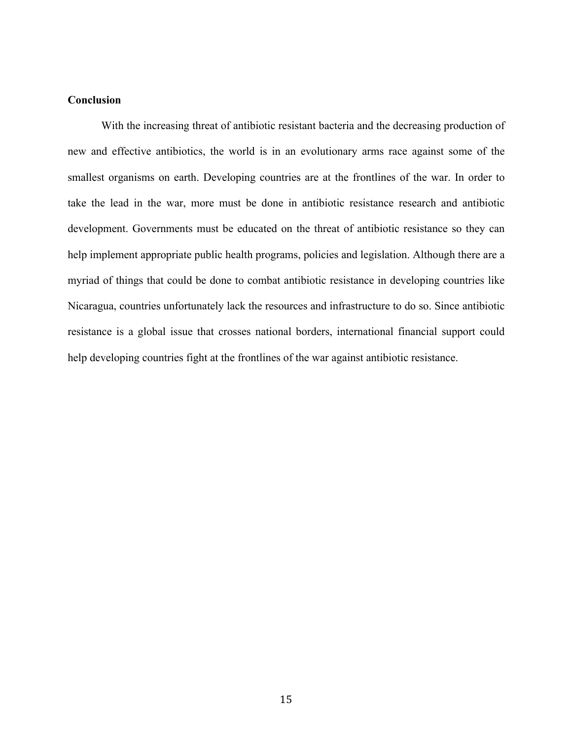## **Conclusion**

With the increasing threat of antibiotic resistant bacteria and the decreasing production of new and effective antibiotics, the world is in an evolutionary arms race against some of the smallest organisms on earth. Developing countries are at the frontlines of the war. In order to take the lead in the war, more must be done in antibiotic resistance research and antibiotic development. Governments must be educated on the threat of antibiotic resistance so they can help implement appropriate public health programs, policies and legislation. Although there are a myriad of things that could be done to combat antibiotic resistance in developing countries like Nicaragua, countries unfortunately lack the resources and infrastructure to do so. Since antibiotic resistance is a global issue that crosses national borders, international financial support could help developing countries fight at the frontlines of the war against antibiotic resistance.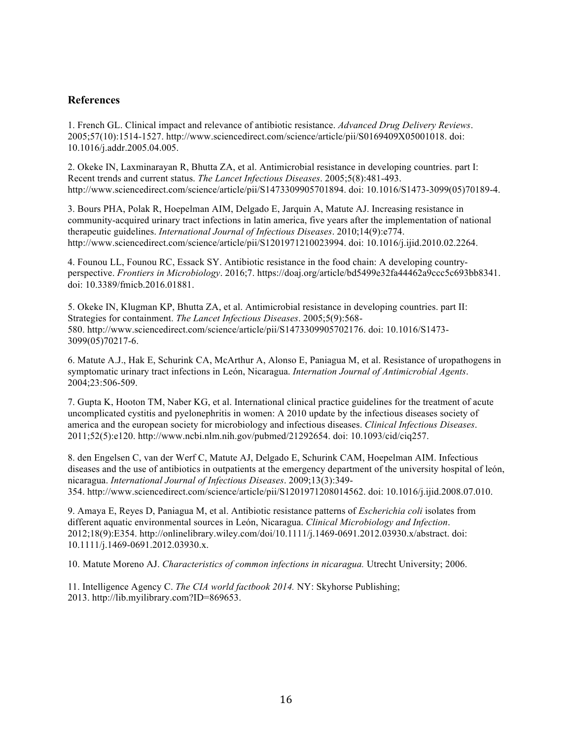## **References**

1. French GL. Clinical impact and relevance of antibiotic resistance. *Advanced Drug Delivery Reviews*. 2005;57(10):1514-1527. http://www.sciencedirect.com/science/article/pii/S0169409X05001018. doi: 10.1016/j.addr.2005.04.005.

2. Okeke IN, Laxminarayan R, Bhutta ZA, et al. Antimicrobial resistance in developing countries. part I: Recent trends and current status. *The Lancet Infectious Diseases*. 2005;5(8):481-493. http://www.sciencedirect.com/science/article/pii/S1473309905701894. doi: 10.1016/S1473-3099(05)70189-4.

3. Bours PHA, Polak R, Hoepelman AIM, Delgado E, Jarquin A, Matute AJ. Increasing resistance in community-acquired urinary tract infections in latin america, five years after the implementation of national therapeutic guidelines. *International Journal of Infectious Diseases*. 2010;14(9):e774. http://www.sciencedirect.com/science/article/pii/S1201971210023994. doi: 10.1016/j.ijid.2010.02.2264.

4. Founou LL, Founou RC, Essack SY. Antibiotic resistance in the food chain: A developing countryperspective. *Frontiers in Microbiology*. 2016;7. https://doaj.org/article/bd5499e32fa44462a9ccc5c693bb8341. doi: 10.3389/fmicb.2016.01881.

5. Okeke IN, Klugman KP, Bhutta ZA, et al. Antimicrobial resistance in developing countries. part II: Strategies for containment. *The Lancet Infectious Diseases*. 2005;5(9):568- 580. http://www.sciencedirect.com/science/article/pii/S1473309905702176. doi: 10.1016/S1473- 3099(05)70217-6.

6. Matute A.J., Hak E, Schurink CA, McArthur A, Alonso E, Paniagua M, et al. Resistance of uropathogens in symptomatic urinary tract infections in León, Nicaragua. *Internation Journal of Antimicrobial Agents*. 2004;23:506-509.

7. Gupta K, Hooton TM, Naber KG, et al. International clinical practice guidelines for the treatment of acute uncomplicated cystitis and pyelonephritis in women: A 2010 update by the infectious diseases society of america and the european society for microbiology and infectious diseases. *Clinical Infectious Diseases*. 2011;52(5):e120. http://www.ncbi.nlm.nih.gov/pubmed/21292654. doi: 10.1093/cid/ciq257.

8. den Engelsen C, van der Werf C, Matute AJ, Delgado E, Schurink CAM, Hoepelman AIM. Infectious diseases and the use of antibiotics in outpatients at the emergency department of the university hospital of león, nicaragua. *International Journal of Infectious Diseases*. 2009;13(3):349- 354. http://www.sciencedirect.com/science/article/pii/S1201971208014562. doi: 10.1016/j.ijid.2008.07.010.

9. Amaya E, Reyes D, Paniagua M, et al. Antibiotic resistance patterns of *Escherichia coli* isolates from different aquatic environmental sources in León, Nicaragua. *Clinical Microbiology and Infection*. 2012;18(9):E354. http://onlinelibrary.wiley.com/doi/10.1111/j.1469-0691.2012.03930.x/abstract. doi: 10.1111/j.1469-0691.2012.03930.x.

10. Matute Moreno AJ. *Characteristics of common infections in nicaragua.* Utrecht University; 2006.

11. Intelligence Agency C. *The CIA world factbook 2014.* NY: Skyhorse Publishing; 2013. http://lib.myilibrary.com?ID=869653.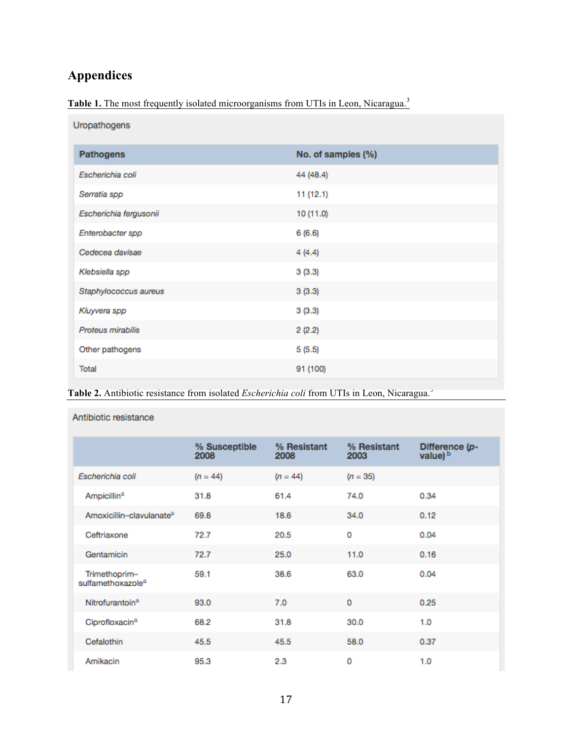# **Appendices**

|  |  |  |  | <b>Table 1.</b> The most frequently isolated microorganisms from UTIs in Leon, Nicaragua. <sup>3</sup> |
|--|--|--|--|--------------------------------------------------------------------------------------------------------|
|  |  |  |  |                                                                                                        |

| Uropathogens           |                    |
|------------------------|--------------------|
| <b>Pathogens</b>       | No. of samples (%) |
| Escherichia coli       | 44 (48.4)          |
| Serratia spp           | 11(12.1)           |
| Escherichia fergusonii | 10 (11.0)          |
| Enterobacter spp       | 6(6.6)             |
| Cedecea davisae        | 4(4.4)             |
| Klebsiella spp         | 3(3.3)             |
| Staphylococcus aureus  | 3(3.3)             |
| Kluyvera spp           | 3(3.3)             |
| Proteus mirabilis      | 2(2.2)             |
| Other pathogens        | 5(5.5)             |
| Total                  | 91 (100)           |

Table 2. Antibiotic resistance from isolated *Escherichia coli* from UTIs in Leon, Nicaragua.<sup>3</sup>

|                                                | % Susceptible<br>2008 | % Resistant<br>2008 | % Resistant<br>2003 | Difference (p-<br>value) b |
|------------------------------------------------|-----------------------|---------------------|---------------------|----------------------------|
| Escherichia coli                               | $(n = 44)$            | $(n = 44)$          | $(n = 35)$          |                            |
| Ampicillin <sup>a</sup>                        | 31.8                  | 61.4                | 74.0                | 0.34                       |
| Amoxicillin-clavulanate <sup>a</sup>           | 69.8                  | 18.6                | 34.0                | 0.12                       |
| Ceftriaxone                                    | 72.7                  | 20.5                | 0                   | 0.04                       |
| Gentamicin                                     | 72.7                  | 25.0                | 11.0                | 0.16                       |
| Trimethoprim-<br>sulfamethoxazole <sup>a</sup> | 59.1                  | 38.6                | 63.0                | 0.04                       |
| Nitrofurantoin <sup>a</sup>                    | 93.0                  | 7.0                 | 0                   | 0.25                       |
| Ciprofloxacin <sup>a</sup>                     | 68.2                  | 31.8                | 30.0                | 1.0                        |
| Cefalothin                                     | 45.5                  | 45.5                | 58.0                | 0.37                       |
| Amikacin                                       | 95.3                  | 2.3                 | 0                   | 1.0                        |

Antibiotic resistance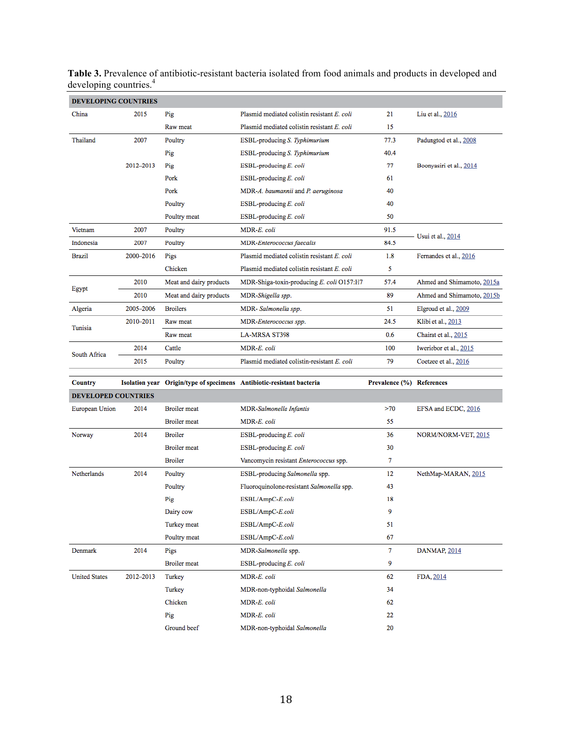| <b>DEVELOPING COUNTRIES</b> |           |                         |                                                                       |                           |                            |
|-----------------------------|-----------|-------------------------|-----------------------------------------------------------------------|---------------------------|----------------------------|
| China                       | 2015      | Pig                     | Plasmid mediated colistin resistant E. coli                           | 21                        | Liu et al., 2016           |
|                             |           | Raw meat                | Plasmid mediated colistin resistant E. coli                           | 15                        |                            |
| Thailand                    | 2007      | Poultry                 | ESBL-producing S. Typhimurium                                         | 77.3                      | Padungtod et al., 2008     |
|                             |           | Pig                     | ESBL-producing S. Typhimurium                                         | 40.4                      |                            |
|                             | 2012-2013 | Pig                     | ESBL-producing E. coli                                                | 77                        | Boonyasiri et al., 2014    |
|                             |           | Pork                    | ESBL-producing E. coli                                                | 61                        |                            |
|                             |           | Pork                    | MDR-A. baumannii and P. aeruginosa                                    | 40                        |                            |
|                             |           | Poultry                 | ESBL-producing E. coli                                                | 40                        |                            |
|                             |           | Poultry meat            | ESBL-producing E. coli                                                | 50                        |                            |
| Vietnam                     | 2007      | Poultry                 | MDR-E. coli                                                           | 91.5                      | Usui et al., 2014          |
| Indonesia                   | 2007      | Poultry                 | <b>MDR-Enterococcus faecalis</b>                                      | 84.5                      |                            |
| <b>Brazil</b>               | 2000-2016 | Pigs                    | Plasmid mediated colistin resistant E. coli                           | 1.8                       | Fernandes et al., 2016     |
|                             |           | Chicken                 | Plasmid mediated colistin resistant E. coli                           | 5                         |                            |
| Egypt                       | 2010      | Meat and dairy products | MDR-Shiga-toxin-producing E. coli O157:H7                             | 57.4                      | Ahmed and Shimamoto, 2015a |
|                             | 2010      | Meat and dairy products | MDR-Shigella spp.                                                     | 89                        | Ahmed and Shimamoto, 2015b |
| Algeria                     | 2005-2006 | <b>Broilers</b>         | MDR-Salmonella spp.                                                   | 51                        | Elgroud et al., 2009       |
|                             | 2010-2011 | Raw meat                | MDR-Enterococcus spp.                                                 | 24.5                      | Klibi et al., 2013         |
| Tunisia                     |           | Raw meat                | <b>LA-MRSA ST398</b>                                                  | 0.6                       | Chairat et al., 2015       |
|                             | 2014      | Cattle                  | MDR-E. coli                                                           | 100                       | Iweriebor et al., 2015     |
| South Africa                | 2015      | Poultry                 | Plasmid mediated colistin-resistant E. coli                           | 79                        | Coetzee et al., 2016       |
|                             |           |                         |                                                                       |                           |                            |
| Country                     |           |                         | Isolation year Origin/type of specimens Antibiotic-resistant bacteria | Prevalence (%) References |                            |
| <b>DEVELOPED COUNTRIES</b>  |           |                         |                                                                       |                           |                            |
| European Union              | 2014      | <b>Broiler</b> meat     | MDR-Salmonella Infantis                                               | >70                       | EFSA and ECDC, 2016        |
|                             |           | <b>Broiler</b> meat     | MDR-E. coli                                                           | 55                        |                            |
| Norway                      | 2014      | <b>Broiler</b>          | ESBL-producing E. coli                                                | 36                        | NORM/NORM-VET, 2015        |
|                             |           | <b>Broiler</b> meat     | ESBL-producing E. coli                                                | 30                        |                            |
|                             |           | <b>Broiler</b>          | Vancomycin resistant Enterococcus spp.                                | 7                         |                            |
| <b>Netherlands</b>          | 2014      | Poultry                 | ESBL-producing Salmonella spp.                                        | 12                        | NethMap-MARAN, 2015        |
|                             |           | Poultry                 | Fluoroquinolone-resistant Salmonella spp.                             | 43                        |                            |
|                             |           | Pig                     | ESBL/AmpC-E.coli                                                      | 18                        |                            |
|                             |           | Dairy cow               | ESBL/AmpC-E.coli                                                      | 9                         |                            |
|                             |           | Turkey meat             | ESBL/AmpC-E.coli                                                      | 51                        |                            |
|                             |           | Poultry meat            | ESBL/AmpC-E.coli                                                      | 67                        |                            |
| Denmark                     | 2014      | Pigs                    | MDR-Salmonella spp.                                                   | 7                         | DANMAP, 2014               |
|                             |           | <b>Broiler</b> meat     | ESBL-producing E. coli                                                | 9                         |                            |
| <b>United States</b>        | 2012-2013 | Turkey                  | MDR-E. coli                                                           | 62                        | FDA, 2014                  |
|                             |           | Turkey                  | MDR-non-typhoidal Salmonella                                          | 34                        |                            |
|                             |           | Chicken                 | MDR-E. coli                                                           | 62                        |                            |
|                             |           | Pig                     | MDR-E. coli                                                           | 22                        |                            |

**Table 3.** Prevalence of antibiotic-resistant bacteria isolated from food animals and products in developed and developing countries.<sup>4</sup>